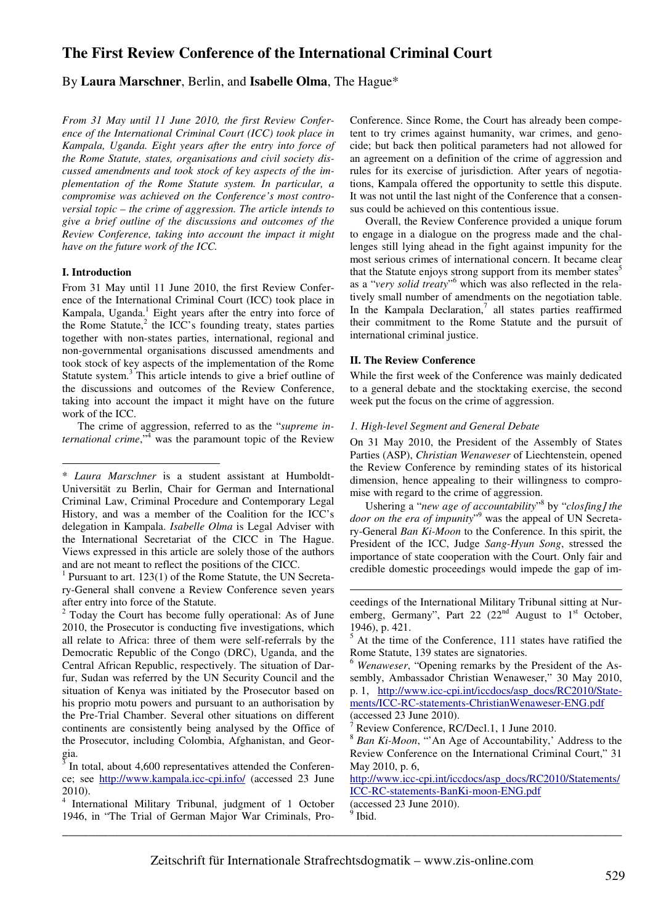# **The First Review Conference of the International Criminal Court**

## By **Laura Marschner**, Berlin, and **Isabelle Olma**, The Hague\*

*From 31 May until 11 June 2010, the first Review Conference of the International Criminal Court (ICC) took place in Kampala, Uganda. Eight years after the entry into force of the Rome Statute, states, organisations and civil society discussed amendments and took stock of key aspects of the implementation of the Rome Statute system. In particular, a compromise was achieved on the Conference's most controversial topic – the crime of aggression. The article intends to give a brief outline of the discussions and outcomes of the Review Conference, taking into account the impact it might have on the future work of the ICC.* 

#### **I. Introduction**

 $\overline{a}$ 

From 31 May until 11 June 2010, the first Review Conference of the International Criminal Court (ICC) took place in Kampala, Uganda.<sup>1</sup> Eight years after the entry into force of the Rome Statute, $2$  the ICC's founding treaty, states parties together with non-states parties, international, regional and non-governmental organisations discussed amendments and took stock of key aspects of the implementation of the Rome Statute system.<sup>3</sup> This article intends to give a brief outline of the discussions and outcomes of the Review Conference, taking into account the impact it might have on the future work of the ICC.

The crime of aggression, referred to as the "*supreme in*ternational crime,"<sup>4</sup> was the paramount topic of the Review

<sup>1</sup> Pursuant to art. 123(1) of the Rome Statute, the UN Secretary-General shall convene a Review Conference seven years after entry into force of the Statute.

<sup>2</sup> Today the Court has become fully operational: As of June 2010, the Prosecutor is conducting five investigations, which all relate to Africa: three of them were self-referrals by the Democratic Republic of the Congo (DRC), Uganda, and the Central African Republic, respectively. The situation of Darfur, Sudan was referred by the UN Security Council and the situation of Kenya was initiated by the Prosecutor based on his proprio motu powers and pursuant to an authorisation by the Pre-Trial Chamber. Several other situations on different continents are consistently being analysed by the Office of the Prosecutor, including Colombia, Afghanistan, and Georgia.

3 In total, about 4,600 representatives attended the Conference; see http://www.kampala.icc-cpi.info/ (accessed 23 June 2010).

4 International Military Tribunal, judgment of 1 October 1946, in "The Trial of German Major War Criminals, Pro-

Conference. Since Rome, the Court has already been competent to try crimes against humanity, war crimes, and genocide; but back then political parameters had not allowed for an agreement on a definition of the crime of aggression and rules for its exercise of jurisdiction. After years of negotiations, Kampala offered the opportunity to settle this dispute. It was not until the last night of the Conference that a consensus could be achieved on this contentious issue.

Overall, the Review Conference provided a unique forum to engage in a dialogue on the progress made and the challenges still lying ahead in the fight against impunity for the most serious crimes of international concern. It became clear that the Statute enjoys strong support from its member states<sup>5</sup> as a "very solid treaty"<sup>6</sup> which was also reflected in the relatively small number of amendments on the negotiation table. In the Kampala Declaration, $7$  all states parties reaffirmed their commitment to the Rome Statute and the pursuit of international criminal justice.

#### **II. The Review Conference**

While the first week of the Conference was mainly dedicated to a general debate and the stocktaking exercise, the second week put the focus on the crime of aggression.

#### *1. High-level Segment and General Debate*

On 31 May 2010, the President of the Assembly of States Parties (ASP), *Christian Wenaweser* of Liechtenstein, opened the Review Conference by reminding states of its historical dimension, hence appealing to their willingness to compromise with regard to the crime of aggression.

Ushering a "*new age of accountability*" 8 by "*clos*[*ing*] *the*  door on the era of impunity"<sup>9</sup> was the appeal of UN Secretary-General *Ban Ki-Moon* to the Conference. In this spirit, the President of the ICC, Judge *Sang-Hyun Song*, stressed the importance of state cooperation with the Court. Only fair and credible domestic proceedings would impede the gap of im-

(accessed 23 June 2010).

\_\_\_\_\_\_\_\_\_\_\_\_\_\_\_\_\_\_\_\_\_\_\_\_\_\_\_\_\_\_\_\_\_\_\_\_\_\_\_\_\_\_\_\_\_\_\_\_\_\_\_\_\_\_\_\_\_\_\_\_\_\_\_\_\_\_\_\_\_\_\_\_\_\_\_\_\_\_\_\_\_\_\_\_\_

<sup>\*</sup> *Laura Marschner* is a student assistant at Humboldt-Universität zu Berlin, Chair for German and International Criminal Law, Criminal Procedure and Contemporary Legal History, and was a member of the Coalition for the ICC's delegation in Kampala. *Isabelle Olma* is Legal Adviser with the International Secretariat of the CICC in The Hague. Views expressed in this article are solely those of the authors and are not meant to reflect the positions of the CICC.

ceedings of the International Military Tribunal sitting at Nuremberg, Germany", Part 22  $(22<sup>nd</sup>$  August to 1<sup>st</sup> October, 1946), p. 421.

<sup>&</sup>lt;sup>5</sup> At the time of the Conference, 111 states have ratified the Rome Statute, 139 states are signatories.

<sup>6</sup> *Wenaweser*, "Opening remarks by the President of the Assembly, Ambassador Christian Wenaweser," 30 May 2010, p. 1, http://www.icc-cpi.int/iccdocs/asp\_docs/RC2010/Statements/ICC-RC-statements-ChristianWenaweser-ENG.pdf (accessed 23 June 2010).

<sup>7</sup> Review Conference, RC/Decl.1, 1 June 2010.

<sup>8</sup> *Ban Ki-Moon*, "'An Age of Accountability,' Address to the Review Conference on the International Criminal Court," 31 May 2010, p. 6,

http://www.icc-cpi.int/iccdocs/asp\_docs/RC2010/Statements/ ICC-RC-statements-BanKi-moon-ENG.pdf

<sup>9</sup> Ibid.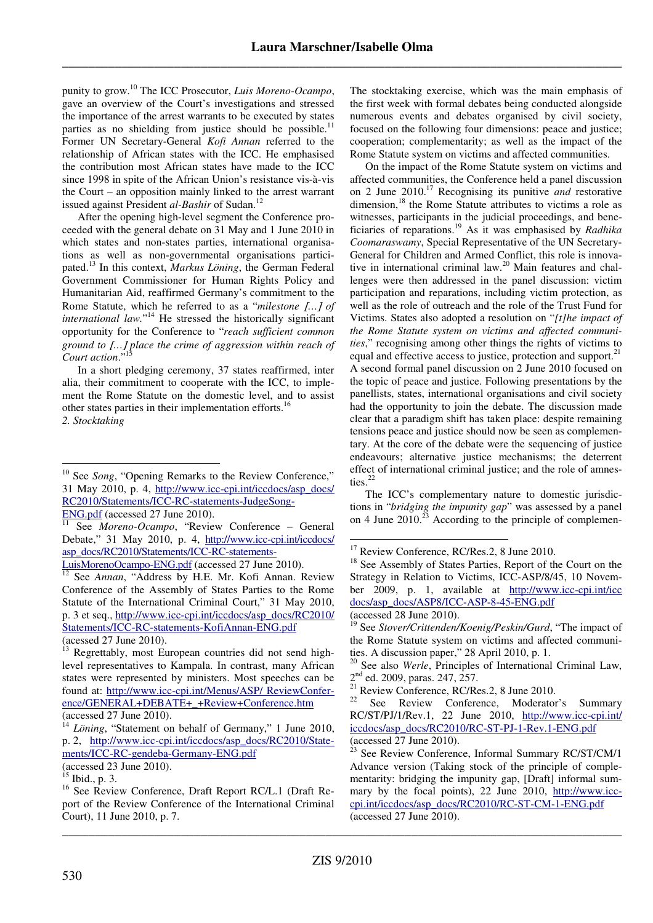punity to grow.<sup>10</sup> The ICC Prosecutor, *Luis Moreno-Ocampo*, gave an overview of the Court's investigations and stressed the importance of the arrest warrants to be executed by states parties as no shielding from justice should be possible.<sup>11</sup> Former UN Secretary-General *Kofi Annan* referred to the relationship of African states with the ICC. He emphasised the contribution most African states have made to the ICC since 1998 in spite of the African Union's resistance vis-à-vis the Court – an opposition mainly linked to the arrest warrant issued against President al-Bashir of Sudan.<sup>1</sup>

After the opening high-level segment the Conference proceeded with the general debate on 31 May and 1 June 2010 in which states and non-states parties, international organisations as well as non-governmental organisations participated.<sup>13</sup> In this context, *Markus Löning*, the German Federal Government Commissioner for Human Rights Policy and Humanitarian Aid, reaffirmed Germany's commitment to the Rome Statute, which he referred to as a "*milestone* [*…*] *of international law*."<sup>14</sup> He stressed the historically significant opportunity for the Conference to "*reach sufficient common ground to* [*…*] *place the crime of aggression within reach of Court action.*"

In a short pledging ceremony, 37 states reaffirmed, inter alia, their commitment to cooperate with the ICC, to implement the Rome Statute on the domestic level, and to assist other states parties in their implementation efforts.<sup>16</sup>

*2. Stocktaking* 

 $\overline{a}$ 

 $\underline{ENG.pdf}$  (accessed 27 June 2010).

See *Moreno-Ocampo*, "Review Conference - General Debate," 31 May 2010, p. 4, http://www.icc-cpi.int/iccdocs/ asp\_docs/RC2010/Statements/ICC-RC-statements-

LuisMorenoOcampo-ENG.pdf (accessed 27 June 2010).

<sup>12</sup> See *Annan*, "Address by H.E. Mr. Kofi Annan. Review Conference of the Assembly of States Parties to the Rome Statute of the International Criminal Court," 31 May 2010, p. 3 et seq., http://www.icc-cpi.int/iccdocs/asp\_docs/RC2010/ Statements/ICC-RC-statements-KofiAnnan-ENG.pdf

The stocktaking exercise, which was the main emphasis of the first week with formal debates being conducted alongside numerous events and debates organised by civil society, focused on the following four dimensions: peace and justice; cooperation; complementarity; as well as the impact of the Rome Statute system on victims and affected communities.

On the impact of the Rome Statute system on victims and affected communities, the Conference held a panel discussion on 2 June 2010.<sup>17</sup> Recognising its punitive *and* restorative dimension,<sup>18</sup> the Rome Statute attributes to victims a role as witnesses, participants in the judicial proceedings, and beneficiaries of reparations.<sup>19</sup> As it was emphasised by *Radhika Coomaraswamy*, Special Representative of the UN Secretary-General for Children and Armed Conflict, this role is innovative in international criminal law.<sup>20</sup> Main features and challenges were then addressed in the panel discussion: victim participation and reparations, including victim protection, as well as the role of outreach and the role of the Trust Fund for Victims. States also adopted a resolution on "*[t]he impact of the Rome Statute system on victims and affected communities*," recognising among other things the rights of victims to equal and effective access to justice, protection and support.<sup>21</sup> A second formal panel discussion on 2 June 2010 focused on the topic of peace and justice. Following presentations by the panellists, states, international organisations and civil society had the opportunity to join the debate. The discussion made clear that a paradigm shift has taken place: despite remaining tensions peace and justice should now be seen as complementary. At the core of the debate were the sequencing of justice endeavours; alternative justice mechanisms; the deterrent effect of international criminal justice; and the role of amnesties. $^{22}$ 

The ICC's complementary nature to domestic jurisdictions in "*bridging the impunity gap*" was assessed by a panel on 4 June  $2010^{23}$  According to the principle of complemen-

\_\_\_\_\_\_\_\_\_\_\_\_\_\_\_\_\_\_\_\_\_\_\_\_\_\_\_\_\_\_\_\_\_\_\_\_\_\_\_\_\_\_\_\_\_\_\_\_\_\_\_\_\_\_\_\_\_\_\_\_\_\_\_\_\_\_\_\_\_\_\_\_\_\_\_\_\_\_\_\_\_\_\_\_\_

<sup>&</sup>lt;sup>10</sup> See *Song*, "Opening Remarks to the Review Conference," 31 May 2010, p. 4, http://www.icc-cpi.int/iccdocs/asp\_docs/ RC2010/Statements/ICC-RC-statements-JudgeSong-

<sup>(</sup>acessed 27 June 2010).

Regrettably, most European countries did not send highlevel representatives to Kampala. In contrast, many African states were represented by ministers. Most speeches can be found at: http://www.icc-cpi.int/Menus/ASP/ ReviewConference/GENERAL+DEBATE+\_+Review+Conference.htm (accessed 27 June 2010).

*Löning*, "Statement on behalf of Germany," 1 June 2010, p. 2, http://www.icc-cpi.int/iccdocs/asp\_docs/RC2010/Statements/ICC-RC-gendeba-Germany-ENG.pdf

<sup>(</sup>accessed 23 June 2010).

<sup>15</sup> Ibid., p. 3.

<sup>&</sup>lt;sup>16</sup> See Review Conference, Draft Report RC/L.1 (Draft Report of the Review Conference of the International Criminal Court), 11 June 2010, p. 7.

<sup>&</sup>lt;sup>17</sup> Review Conference, RC/Res.2, 8 June 2010.

<sup>&</sup>lt;sup>18</sup> See Assembly of States Parties, Report of the Court on the Strategy in Relation to Victims, ICC-ASP/8/45, 10 November 2009, p. 1, available at http://www.icc-cpi.int/icc docs/asp\_docs/ASP8/ICC-ASP-8-45-ENG.pdf

<sup>(</sup>accessed 28 June 2010).

<sup>19</sup> See *Stover/Crittenden/Koenig/Peskin/Gurd*, "The impact of the Rome Statute system on victims and affected communities. A discussion paper," 28 April 2010, p. 1.

<sup>20</sup> See also *Werle*, Principles of International Criminal Law, 2<sup>nd</sup> ed. 2009, paras. 247, 257.

<sup>&</sup>lt;sup>21</sup> Review Conference, RC/Res. 2, 8 June 2010.<br><sup>22</sup> See Bayjaw, Conference, Moderator

See Review Conference, Moderator's Summary RC/ST/PJ/1/Rev.1, 22 June 2010, http://www.icc-cpi.int/ iccdocs/asp\_docs/RC2010/RC-ST-PJ-1-Rev.1-ENG.pdf (accessed 27 June 2010).

See Review Conference, Informal Summary RC/ST/CM/1 Advance version (Taking stock of the principle of complementarity: bridging the impunity gap, [Draft] informal summary by the focal points), 22 June 2010, http://www.icccpi.int/iccdocs/asp\_docs/RC2010/RC-ST-CM-1-ENG.pdf (accessed 27 June 2010).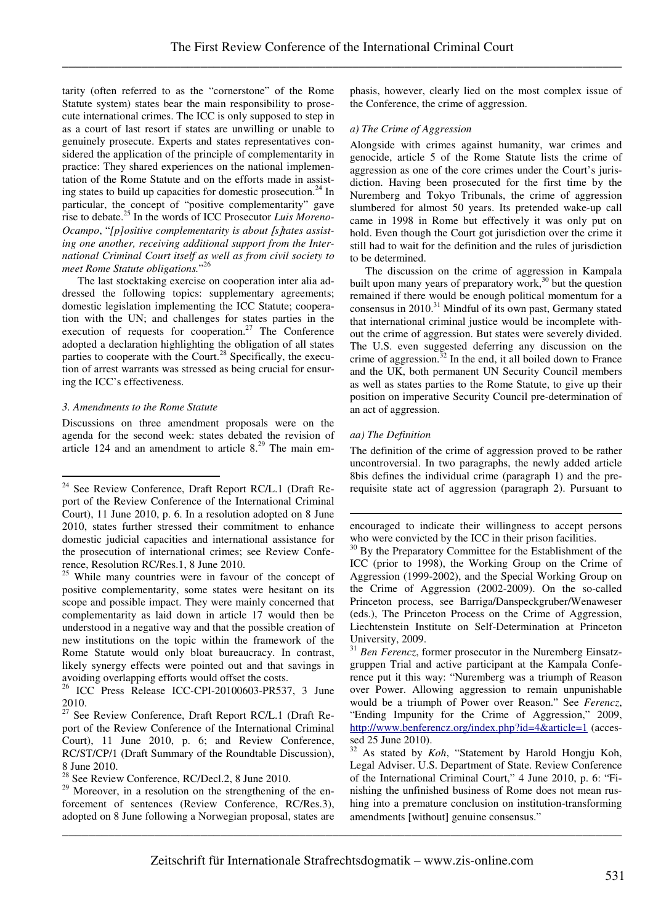tarity (often referred to as the "cornerstone" of the Rome Statute system) states bear the main responsibility to prosecute international crimes. The ICC is only supposed to step in as a court of last resort if states are unwilling or unable to genuinely prosecute. Experts and states representatives considered the application of the principle of complementarity in practice: They shared experiences on the national implementation of the Rome Statute and on the efforts made in assisting states to build up capacities for domestic prosecution.<sup>24</sup> In particular, the concept of "positive complementarity" gave rise to debate.<sup>25</sup> In the words of ICC Prosecutor *Luis Moreno-Ocampo*, "*[p]ositive complementarity is about* [*s*]*tates assisting one another, receiving additional support from the International Criminal Court itself as well as from civil society to meet Rome Statute obligations.*" 26

The last stocktaking exercise on cooperation inter alia addressed the following topics: supplementary agreements; domestic legislation implementing the ICC Statute; cooperation with the UN; and challenges for states parties in the execution of requests for cooperation.<sup>27</sup> The Conference adopted a declaration highlighting the obligation of all states parties to cooperate with the Court.<sup>28</sup> Specifically, the execution of arrest warrants was stressed as being crucial for ensuring the ICC's effectiveness.

## *3. Amendments to the Rome Statute*

 $\overline{a}$ 

Discussions on three amendment proposals were on the agenda for the second week: states debated the revision of article 124 and an amendment to article  $8.^{29}$ . The main em-

phasis, however, clearly lied on the most complex issue of the Conference, the crime of aggression.

#### *a) The Crime of Aggression*

Alongside with crimes against humanity, war crimes and genocide, article 5 of the Rome Statute lists the crime of aggression as one of the core crimes under the Court's jurisdiction. Having been prosecuted for the first time by the Nuremberg and Tokyo Tribunals, the crime of aggression slumbered for almost 50 years. Its pretended wake-up call came in 1998 in Rome but effectively it was only put on hold. Even though the Court got jurisdiction over the crime it still had to wait for the definition and the rules of jurisdiction to be determined.

The discussion on the crime of aggression in Kampala built upon many years of preparatory work, $30$  but the question remained if there would be enough political momentum for a consensus in  $2010$ .<sup>31</sup> Mindful of its own past, Germany stated that international criminal justice would be incomplete without the crime of aggression. But states were severely divided. The U.S. even suggested deferring any discussion on the crime of aggression. $32 \text{ In the end, it all boiled down to France}$ and the UK, both permanent UN Security Council members as well as states parties to the Rome Statute, to give up their position on imperative Security Council pre-determination of an act of aggression.

#### *aa) The Definition*

 $\overline{a}$ 

The definition of the crime of aggression proved to be rather uncontroversial. In two paragraphs, the newly added article 8bis defines the individual crime (paragraph 1) and the prerequisite state act of aggression (paragraph 2). Pursuant to

encouraged to indicate their willingness to accept persons who were convicted by the ICC in their prison facilities.

By the Preparatory Committee for the Establishment of the ICC (prior to 1998), the Working Group on the Crime of Aggression (1999-2002), and the Special Working Group on the Crime of Aggression (2002-2009). On the so-called Princeton process, see Barriga/Danspeckgruber/Wenaweser (eds.), The Princeton Process on the Crime of Aggression, Liechtenstein Institute on Self-Determination at Princeton University, 2009.

<sup>31</sup> Ben Ferencz, former prosecutor in the Nuremberg Einsatzgruppen Trial and active participant at the Kampala Conference put it this way: "Nuremberg was a triumph of Reason over Power. Allowing aggression to remain unpunishable would be a triumph of Power over Reason." See *Ferencz*, "Ending Impunity for the Crime of Aggression," 2009, http://www.benferencz.org/index.php?id=4&article=1 (accessed 25 June 2010).

\_\_\_\_\_\_\_\_\_\_\_\_\_\_\_\_\_\_\_\_\_\_\_\_\_\_\_\_\_\_\_\_\_\_\_\_\_\_\_\_\_\_\_\_\_\_\_\_\_\_\_\_\_\_\_\_\_\_\_\_\_\_\_\_\_\_\_\_\_\_\_\_\_\_\_\_\_\_\_\_\_\_\_\_\_

<sup>&</sup>lt;sup>24</sup> See Review Conference, Draft Report RC/L.1 (Draft Report of the Review Conference of the International Criminal Court), 11 June 2010, p. 6. In a resolution adopted on 8 June 2010, states further stressed their commitment to enhance domestic judicial capacities and international assistance for the prosecution of international crimes; see Review Conference, Resolution RC/Res.1, 8 June 2010.

 $25$  While many countries were in favour of the concept of positive complementarity, some states were hesitant on its scope and possible impact. They were mainly concerned that complementarity as laid down in article 17 would then be understood in a negative way and that the possible creation of new institutions on the topic within the framework of the Rome Statute would only bloat bureaucracy. In contrast, likely synergy effects were pointed out and that savings in avoiding overlapping efforts would offset the costs.

<sup>&</sup>lt;sup>26</sup> ICC Press Release ICC-CPI-20100603-PR537, 3 June 2010.

<sup>&</sup>lt;sup>27</sup> See Review Conference, Draft Report RC/L.1 (Draft Report of the Review Conference of the International Criminal Court), 11 June 2010, p. 6; and Review Conference, RC/ST/CP/1 (Draft Summary of the Roundtable Discussion), 8 June 2010.

<sup>&</sup>lt;sup>28</sup> See Review Conference, RC/Decl.2, 8 June 2010.

<sup>&</sup>lt;sup>29</sup> Moreover, in a resolution on the strengthening of the enforcement of sentences (Review Conference, RC/Res.3), adopted on 8 June following a Norwegian proposal, states are

<sup>32</sup> As stated by *Koh*, "Statement by Harold Hongju Koh, Legal Adviser. U.S. Department of State. Review Conference of the International Criminal Court," 4 June 2010, p. 6: "Finishing the unfinished business of Rome does not mean rushing into a premature conclusion on institution-transforming amendments [without] genuine consensus."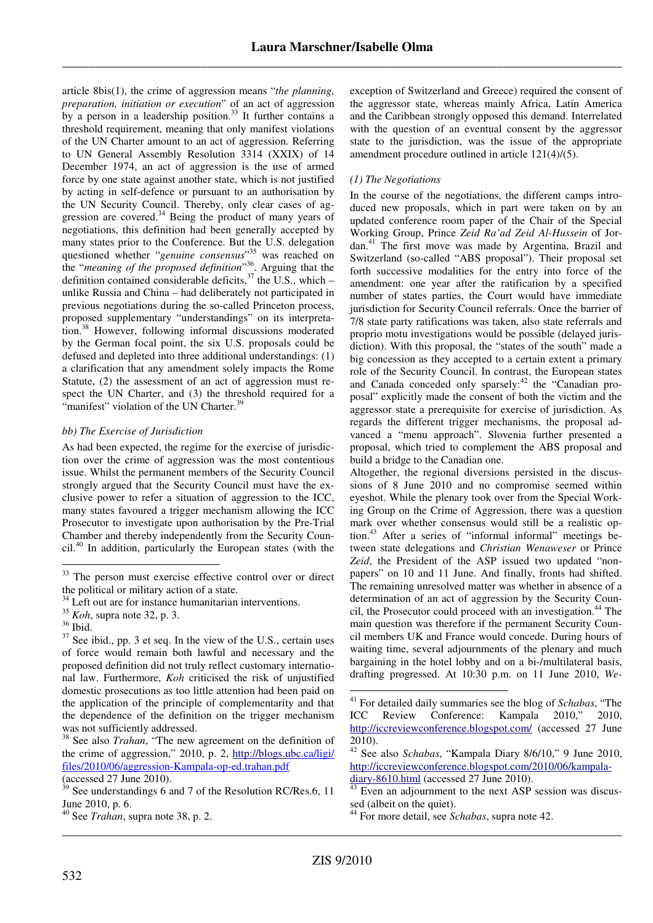article 8bis(1), the crime of aggression means "*the planning, preparation, initiation or execution*" of an act of aggression by a person in a leadership position.<sup>33</sup> It further contains a threshold requirement, meaning that only manifest violations of the UN Charter amount to an act of aggression. Referring to UN General Assembly Resolution 3314 (XXIX) of 14 December 1974, an act of aggression is the use of armed force by one state against another state, which is not justified by acting in self-defence or pursuant to an authorisation by the UN Security Council. Thereby, only clear cases of aggression are covered. $34$  Being the product of many years of negotiations, this definition had been generally accepted by many states prior to the Conference. But the U.S. delegation questioned whether "*genuine consensus*" <sup>35</sup> was reached on the "*meaning of the proposed definition*" <sup>36</sup>. Arguing that the definition contained considerable deficits,  $37$  the U.S., which – unlike Russia and China – had deliberately not participated in previous negotiations during the so-called Princeton process, proposed supplementary "understandings" on its interpretation.<sup>38</sup> However, following informal discussions moderated by the German focal point, the six U.S. proposals could be defused and depleted into three additional understandings: (1) a clarification that any amendment solely impacts the Rome Statute, (2) the assessment of an act of aggression must respect the UN Charter, and (3) the threshold required for a "manifest" violation of the UN Charter.<sup>39</sup>

## *bb) The Exercise of Jurisdiction*

As had been expected, the regime for the exercise of jurisdiction over the crime of aggression was the most contentious issue. Whilst the permanent members of the Security Council strongly argued that the Security Council must have the exclusive power to refer a situation of aggression to the ICC, many states favoured a trigger mechanism allowing the ICC Prosecutor to investigate upon authorisation by the Pre-Trial Chamber and thereby independently from the Security Council.<sup>40</sup> In addition, particularly the European states (with the

exception of Switzerland and Greece) required the consent of the aggressor state, whereas mainly Africa, Latin America and the Caribbean strongly opposed this demand. Interrelated with the question of an eventual consent by the aggressor state to the jurisdiction, was the issue of the appropriate amendment procedure outlined in article 121(4)/(5).

## *(1) The Negotiations*

In the course of the negotiations, the different camps introduced new proposals, which in part were taken on by an updated conference room paper of the Chair of the Special Working Group, Prince *Zeid Ra'ad Zeid Al-Hussein* of Jordan.<sup>41</sup> The first move was made by Argentina, Brazil and Switzerland (so-called "ABS proposal"). Their proposal set forth successive modalities for the entry into force of the amendment: one year after the ratification by a specified number of states parties, the Court would have immediate jurisdiction for Security Council referrals. Once the barrier of 7/8 state party ratifications was taken, also state referrals and proprio motu investigations would be possible (delayed jurisdiction). With this proposal, the "states of the south" made a big concession as they accepted to a certain extent a primary role of the Security Council. In contrast, the European states and Canada conceded only sparsely: $42$  the "Canadian proposal" explicitly made the consent of both the victim and the aggressor state a prerequisite for exercise of jurisdiction. As regards the different trigger mechanisms, the proposal advanced a "menu approach". Slovenia further presented a proposal, which tried to complement the ABS proposal and build a bridge to the Canadian one.

Altogether, the regional diversions persisted in the discussions of 8 June 2010 and no compromise seemed within eyeshot. While the plenary took over from the Special Working Group on the Crime of Aggression, there was a question mark over whether consensus would still be a realistic option.<sup>43</sup> After a series of "informal informal" meetings between state delegations and *Christian Wenaweser* or Prince *Zeid*, the President of the ASP issued two updated "nonpapers" on 10 and 11 June. And finally, fronts had shifted. The remaining unresolved matter was whether in absence of a determination of an act of aggression by the Security Council, the Prosecutor could proceed with an investigation.<sup>44</sup> The main question was therefore if the permanent Security Council members UK and France would concede. During hours of waiting time, several adjournments of the plenary and much bargaining in the hotel lobby and on a bi-/multilateral basis, drafting progressed. At 10:30 p.m. on 11 June 2010, *We-*

\_\_\_\_\_\_\_\_\_\_\_\_\_\_\_\_\_\_\_\_\_\_\_\_\_\_\_\_\_\_\_\_\_\_\_\_\_\_\_\_\_\_\_\_\_\_\_\_\_\_\_\_\_\_\_\_\_\_\_\_\_\_\_\_\_\_\_\_\_\_\_\_\_\_\_\_\_\_\_\_\_\_\_\_\_

 $\overline{a}$ <sup>33</sup> The person must exercise effective control over or direct the political or military action of a state.

<sup>&</sup>lt;sup>34</sup> Left out are for instance humanitarian interventions.

<sup>35</sup> *Koh*, supra note 32, p. 3.

 $36$  Ibid.

 $37$  See ibid., pp. 3 et seq. In the view of the U.S., certain uses of force would remain both lawful and necessary and the proposed definition did not truly reflect customary international law. Furthermore, *Koh* criticised the risk of unjustified domestic prosecutions as too little attention had been paid on the application of the principle of complementarity and that the dependence of the definition on the trigger mechanism was not sufficiently addressed.

<sup>&</sup>lt;sup>38</sup> See also *Trahan*, "The new agreement on the definition of the crime of aggression," 2010, p. 2, http://blogs.ubc.ca/ligi/ files/2010/06/aggression-Kampala-op-ed.trahan.pdf (accessed 27 June 2010).

 $39$  See understandings 6 and 7 of the Resolution RC/Res.6, 11 June 2010, p. 6.

<sup>40</sup> See *Trahan*, supra note 38, p. 2.

<sup>41</sup> For detailed daily summaries see the blog of *Schabas*, "The ICC Review Conference: Kampala 2010," 2010, http://iccreviewconference.blogspot.com/ (accessed 27 June 2010).

<sup>42</sup> See also *Schabas*, "Kampala Diary 8/6/10," 9 June 2010, http://iccreviewconference.blogspot.com/2010/06/kampaladiary-8610.html (accessed 27 June 2010).

Even an adjournment to the next ASP session was discussed (albeit on the quiet).

<sup>44</sup> For more detail, see *Schabas*, supra note 42.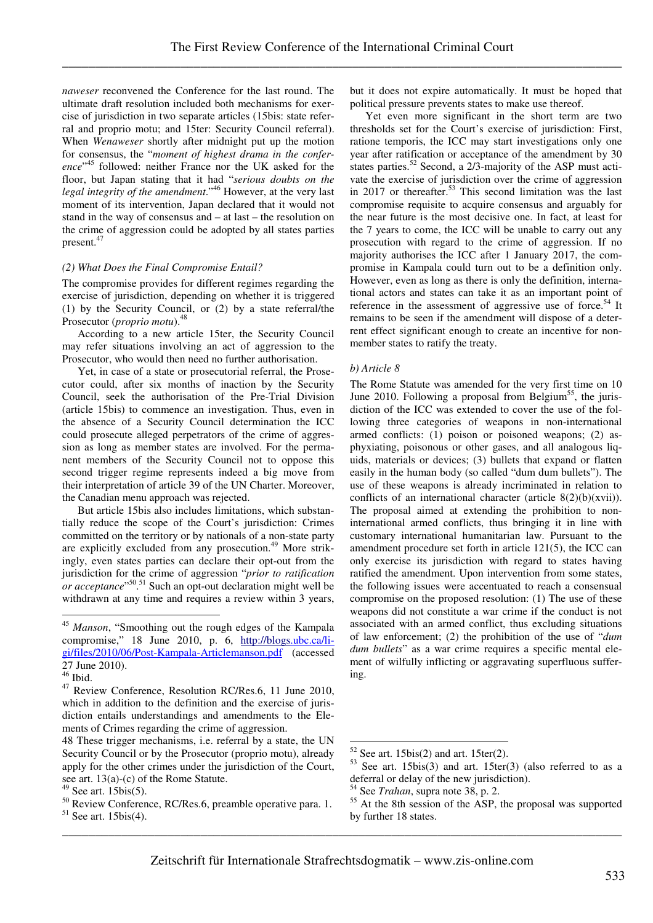*naweser* reconvened the Conference for the last round. The ultimate draft resolution included both mechanisms for exercise of jurisdiction in two separate articles (15bis: state referral and proprio motu; and 15ter: Security Council referral). When *Wenaweser* shortly after midnight put up the motion for consensus, the "*moment of highest drama in the conference*" <sup>45</sup> followed: neither France nor the UK asked for the floor, but Japan stating that it had "*serious doubts on the legal integrity of the amendment*."<sup>46</sup> However, at the very last moment of its intervention, Japan declared that it would not stand in the way of consensus and – at last – the resolution on the crime of aggression could be adopted by all states parties present.<sup>4</sup>

## *(2) What Does the Final Compromise Entail?*

The compromise provides for different regimes regarding the exercise of jurisdiction, depending on whether it is triggered (1) by the Security Council, or (2) by a state referral/the Prosecutor (*proprio motu*).<sup>48</sup>

According to a new article 15ter, the Security Council may refer situations involving an act of aggression to the Prosecutor, who would then need no further authorisation.

Yet, in case of a state or prosecutorial referral, the Prosecutor could, after six months of inaction by the Security Council, seek the authorisation of the Pre-Trial Division (article 15bis) to commence an investigation. Thus, even in the absence of a Security Council determination the ICC could prosecute alleged perpetrators of the crime of aggression as long as member states are involved. For the permanent members of the Security Council not to oppose this second trigger regime represents indeed a big move from their interpretation of article 39 of the UN Charter. Moreover, the Canadian menu approach was rejected.

But article 15bis also includes limitations, which substantially reduce the scope of the Court's jurisdiction: Crimes committed on the territory or by nationals of a non-state party are explicitly excluded from any prosecution.<sup>49</sup> More strikingly, even states parties can declare their opt-out from the jurisdiction for the crime of aggression "*prior to ratification or acceptance*<sup>, 50</sup>.<sup>51</sup> Such an opt-out declaration might well be withdrawn at any time and requires a review within 3 years,

 $\overline{a}$ 

but it does not expire automatically. It must be hoped that political pressure prevents states to make use thereof.

Yet even more significant in the short term are two thresholds set for the Court's exercise of jurisdiction: First, ratione temporis, the ICC may start investigations only one year after ratification or acceptance of the amendment by 30 states parties.<sup>52</sup> Second, a  $2/3$ -majority of the ASP must activate the exercise of jurisdiction over the crime of aggression in 2017 or thereafter.<sup>53</sup> This second limitation was the last compromise requisite to acquire consensus and arguably for the near future is the most decisive one. In fact, at least for the 7 years to come, the ICC will be unable to carry out any prosecution with regard to the crime of aggression. If no majority authorises the ICC after 1 January 2017, the compromise in Kampala could turn out to be a definition only. However, even as long as there is only the definition, international actors and states can take it as an important point of reference in the assessment of aggressive use of force.<sup>54</sup> It remains to be seen if the amendment will dispose of a deterrent effect significant enough to create an incentive for nonmember states to ratify the treaty.

#### *b) Article 8*

The Rome Statute was amended for the very first time on 10 June 2010. Following a proposal from Belgium<sup>55</sup>, the jurisdiction of the ICC was extended to cover the use of the following three categories of weapons in non-international armed conflicts: (1) poison or poisoned weapons; (2) asphyxiating, poisonous or other gases, and all analogous liquids, materials or devices; (3) bullets that expand or flatten easily in the human body (so called "dum dum bullets"). The use of these weapons is already incriminated in relation to conflicts of an international character (article 8(2)(b)(xvii)). The proposal aimed at extending the prohibition to noninternational armed conflicts, thus bringing it in line with customary international humanitarian law. Pursuant to the amendment procedure set forth in article 121(5), the ICC can only exercise its jurisdiction with regard to states having ratified the amendment. Upon intervention from some states, the following issues were accentuated to reach a consensual compromise on the proposed resolution: (1) The use of these weapons did not constitute a war crime if the conduct is not associated with an armed conflict, thus excluding situations of law enforcement; (2) the prohibition of the use of "*dum dum bullets*" as a war crime requires a specific mental element of wilfully inflicting or aggravating superfluous suffering.

\_\_\_\_\_\_\_\_\_\_\_\_\_\_\_\_\_\_\_\_\_\_\_\_\_\_\_\_\_\_\_\_\_\_\_\_\_\_\_\_\_\_\_\_\_\_\_\_\_\_\_\_\_\_\_\_\_\_\_\_\_\_\_\_\_\_\_\_\_\_\_\_\_\_\_\_\_\_\_\_\_\_\_\_\_

<sup>45</sup> *Manson*, "Smoothing out the rough edges of the Kampala compromise," 18 June 2010, p. 6, http://blogs.ubc.ca/ligi/files/2010/06/Post-Kampala-Articlemanson.pdf (accessed 27 June 2010).

 $\frac{46}{47}$  Ibid.

Review Conference, Resolution RC/Res.6, 11 June 2010, which in addition to the definition and the exercise of jurisdiction entails understandings and amendments to the Elements of Crimes regarding the crime of aggression.

<sup>48</sup> These trigger mechanisms, i.e. referral by a state, the UN Security Council or by the Prosecutor (proprio motu), already apply for the other crimes under the jurisdiction of the Court, see art. 13(a)-(c) of the Rome Statute.

 $49$  See art. 15bis(5).

<sup>50</sup> Review Conference, RC/Res.6, preamble operative para. 1.  $51$  See art. 15bis(4).

 $52$  See art. 15bis(2) and art. 15ter(2).

 $53$  See art. 15bis(3) and art. 15ter(3) (also referred to as a deferral or delay of the new jurisdiction).

<sup>54</sup> See *Trahan*, supra note 38, p. 2.

<sup>&</sup>lt;sup>55</sup> At the 8th session of the ASP, the proposal was supported by further 18 states.